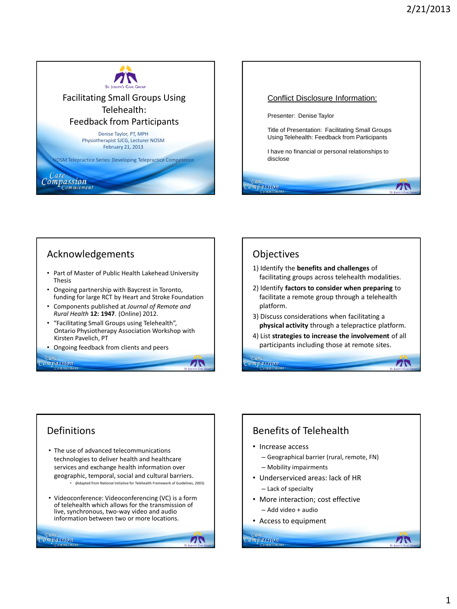



## Acknowledgements

- Part of Master of Public Health Lakehead University Thesis
- Ongoing partnership with Baycrest in Toronto, funding for large RCT by Heart and Stroke Foundation
- Components published at *Journal of Remote and Rural Health* **12: 1947**. (Online) 2012.
- "Facilitating Small Groups using Telehealth", Ontario Physiotherapy Association Workshop with Kirsten Pavelich, PT

71

71

• Ongoing feedback from clients and peers

### *compassion*

### **Objectives**

'ompassion

- 1) Identify the **benefits and challenges** of facilitating groups across telehealth modalities.
- 2) Identify **factors to consider when preparing** to facilitate a remote group through a telehealth platform.
- 3) Discuss considerations when facilitating a **physical activity** through a telepractice platform.
- 4) List **strategies to increase the involvement** of all participants including those at remote sites.

 $\sqrt{2}$ 

 $\sqrt{2}$ 

### Definitions

- The use of advanced telecommunications technologies to deliver health and healthcare services and exchange health information over geographic, temporal, social and cultural barriers. • **(**Adapted from National Initiative for Telehealth Framework of Guidelines, 2003)
- Videoconference: Videoconferencing (VC) is a form of telehealth which allows for the transmission of live, synchronous, two-way video and audio information between two or more locations.

# Benefits of Telehealth

- Increase access
	- Geographical barrier (rural, remote, FN)
	- Mobility impairments
- Underserviced areas: lack of HR
	- Lack of specialty
- More interaction; cost effective
	- Add video + audio
- Access to equipment

Care

ompassion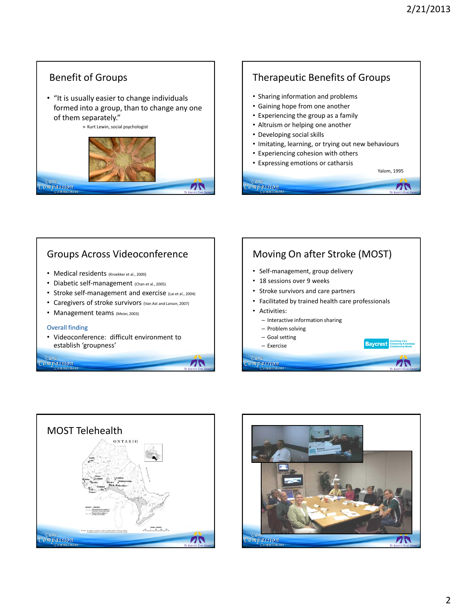# Benefit of Groups

• "It is usually easier to change individuals formed into a group, than to change any one of them separately."

» Kurt Lewin, social psychologist



# Therapeutic Benefits of Groups

- Sharing information and problems
- Gaining hope from one another
- Experiencing the group as a family
- Altruism or helping one another
- Developing social skills

Care<br>Compassion

ompassion

- Imitating, learning, or trying out new behaviours
- Experiencing cohesion with others
- Expressing emotions or catharsis



 $\mathbf{Z}$ 

71



- Medical residents (Kroekker et al., 2000)
- Diabetic self-management (Chan et al., 2005)
- Stroke self-management and exercise (Lai et al., 2004)
- Caregivers of stroke survivors (Van Ast and Larson, 2007)
- Management teams (Meier, 2003)

### Overall finding

• Videoconference: difficult environment to establish 'groupness'

71

*compassion* 

### Moving On after Stroke (MOST) • Self-management, group delivery • 18 sessions over 9 weeks • Stroke survivors and care partners • Facilitated by trained health care professionals • Activities: – Interactive information sharing – Problem solving – Goal setting **Baycrest** – Exercise



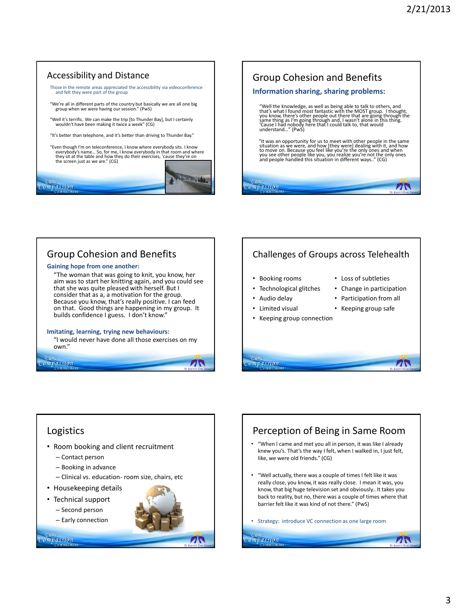### Accessibility and Distance

Those in the remote areas appreciated the accessibility via videoconference and felt they were part of the group

"We're all in different parts of the country but basically we are all one big group when we were having our session." (PwS)

"Well it's terrific. We can make the trip [to Thunder Bay], but I certainly wouldn't have been making it twice a week" (CG)

"It's better than telephone, and it's better than driving to Thunder Bay."

"Even though I'm on teleconference, I know where everybody sits. I know everybody's name… So, for me, I know everybody in that room and where they sit at the table and how they do their exercises, 'cause they're on the screen just as we are." (CG)

Compassion



## Group Cohesion and Benefits

### **Gaining hope from one another:**

"The woman that was going to knit, you know, her aim was to start her knitting again, and you could see that she was quite pleased with herself. But I consider that as a, a motivation for the group. Because you know, that's really positive. I can feed on that. Good things are happening in my group. It builds confidence I guess. I don't know."

### **Imitating, learning, trying new behaviours:**

"I would never have done all those exercises on my own."

## Compassion

### Challenges of Groups across Telehealth

• Booking rooms

• Audio delay • Limited visual

- Technological glitches
- Loss of subtleties
- Change in participation

71

 $\boldsymbol{\Lambda}$ 

- Participation from all
- Keeping group connection
- Keeping group safe

# *compassion*

#### Logistics Perception of Being in Same Room • "When I came and met you all in person, it was like I already • Room booking and client recruitment knew you's. That's the way I felt, when I walked in, I just felt, – Contact person like, we were old friends." (CG) – Booking in advance • "Well actually, there was a couple of times I felt like it was – Clinical vs. education- room size, chairs, etc really close, you know, it was really close. I mean it was, you • Housekeeping details know, that big huge television set and obviously.. It takes you back to reality, but no, there was a couple of times where that • Technical support barrier felt like it was kind of not there." (PwS) – Second person – Early connection • Strategy: introduce VC connection as one large roomCare Care Compassion Compassion 75

71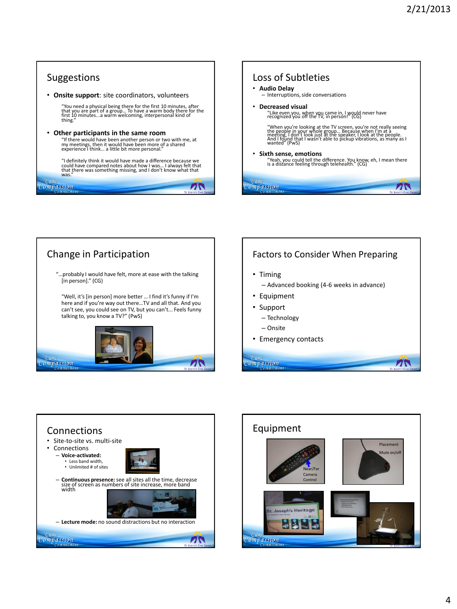



### Factors to Consider When Preparing

- Timing
	- Advanced booking (4-6 weeks in advance)

 $\mathbf{Z}$ 

- Equipment
- Support
	- Technology
- Onsite
- Emergency contacts



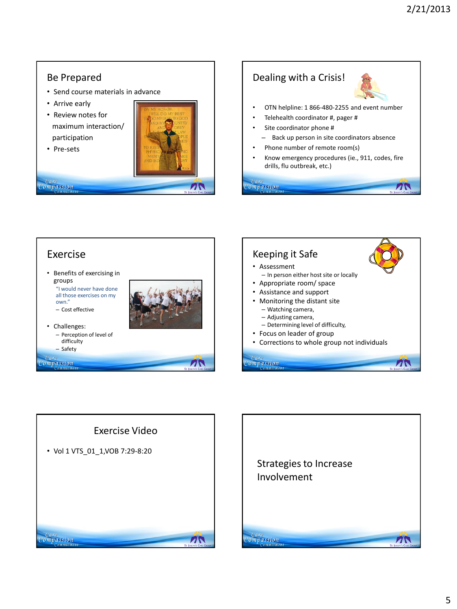# Be Prepared

- Send course materials in advance
- Arrive early
- Review notes for maximum interaction/ participation
- Pre-sets

*Care*<br>Compassion









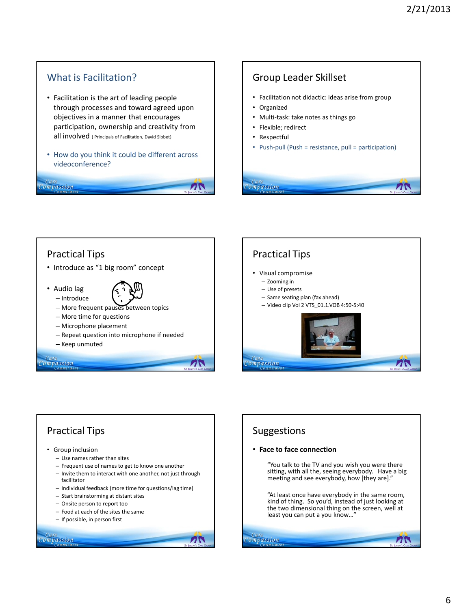**7N** 

### What is Facilitation?

*compassion* 

- Facilitation is the art of leading people through processes and toward agreed upon objectives in a manner that encourages participation, ownership and creativity from all involved ( Principals of Facilitation, David Sibbet)
- How do you think it could be different across videoconference?

### Group Leader Skillset

- Facilitation not didactic: ideas arise from group
- Organized
- Multi-task: take notes as things go
- Flexible; redirect
- Respectful

Care<br>Compassion

ZN

• Push-pull (Push = resistance, pull = participation)

## Practical Tips • Introduce as "1 big room" concept • Audio lag – Introduce – More frequent pauses between topics – More time for questions – Microphone placement – Repeat question into microphone if needed – Keep unmuted ompassion 71





### Suggestions

### • **Face to face connection**

"You talk to the TV and you wish you were there sitting, with all the, seeing everybody. Have a big meeting and see everybody, how [they are]."

"At least once have everybody in the same room, kind of thing. So you'd, instead of just looking at the two dimensional thing on the screen, well at least you can put a you know...

 $\sqrt{2}$